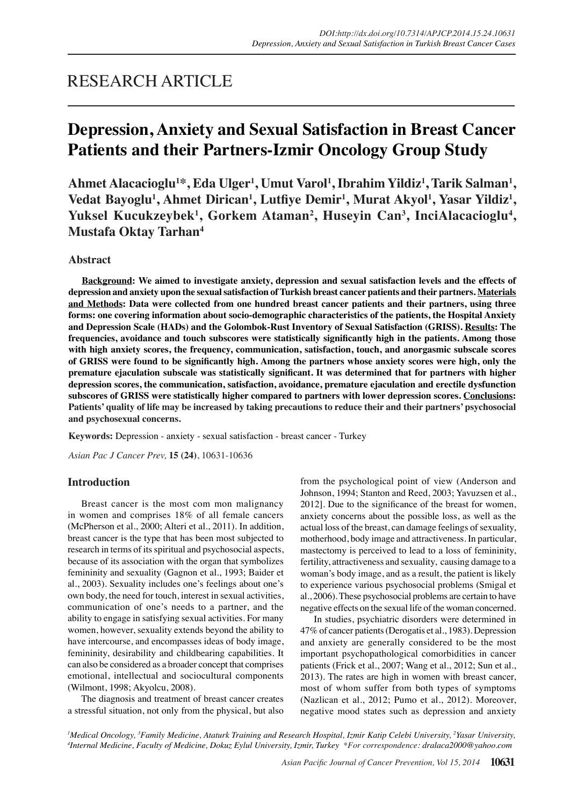## RESEARCH ARTICLE

# **Depression, Anxiety and Sexual Satisfaction in Breast Cancer Patients and their Partners-Izmir Oncology Group Study**

Ahmet Alacacioglu<sup>1</sup>\*, Eda Ulger<sup>1</sup>, Umut Varol<sup>1</sup>, Ibrahim Yildiz<sup>1</sup>, Tarik Salman<sup>1</sup>, Vedat Bayoglu<sup>1</sup>, Ahmet Dirican<sup>1</sup>, Lutfiye Demir<sup>1</sup>, Murat Akyol<sup>1</sup>, Yasar Yildiz<sup>1</sup>, Yuksel Kucukzeybek<sup>1</sup>, Gorkem Ataman<sup>2</sup>, Huseyin Can<sup>3</sup>, InciAlacacioglu<sup>4</sup>, **Mustafa Oktay Tarhan4**

## **Abstract**

**Background: We aimed to investigate anxiety, depression and sexual satisfaction levels and the effects of depression and anxiety upon the sexual satisfaction of Turkish breast cancer patients and their partners. Materials and Methods: Data were collected from one hundred breast cancer patients and their partners, using three forms: one covering information about socio-demographic characteristics of the patients, the Hospital Anxiety and Depression Scale (HADs) and the Golombok-Rust Inventory of Sexual Satisfaction (GRISS). Results: The frequencies, avoidance and touch subscores were statistically significantly high in the patients. Among those with high anxiety scores, the frequency, communication, satisfaction, touch, and anorgasmic subscale scores of GRISS were found to be significantly high. Among the partners whose anxiety scores were high, only the premature ejaculation subscale was statistically significant. It was determined that for partners with higher depression scores, the communication, satisfaction, avoidance, premature ejaculation and erectile dysfunction subscores of GRISS were statistically higher compared to partners with lower depression scores. Conclusions: Patients' quality of life may be increased by taking precautions to reduce their and their partners' psychosocial and psychosexual concerns.**

**Keywords:** Depression - anxiety - sexual satisfaction - breast cancer - Turkey

*Asian Pac J Cancer Prev,* **15 (24)**, 10631-10636

## **Introduction**

Breast cancer is the most com mon malignancy in women and comprises 18% of all female cancers (McPherson et al., 2000; Alteri et al., 2011). In addition, breast cancer is the type that has been most subjected to research in terms of its spiritual and psychosocial aspects, because of its association with the organ that symbolizes femininity and sexuality (Gagnon et al., 1993; Baider et al., 2003). Sexuality includes one's feelings about one's own body, the need for touch, interest in sexual activities, communication of one's needs to a partner, and the ability to engage in satisfying sexual activities. For many women, however, sexuality extends beyond the ability to have intercourse, and encompasses ideas of body image, femininity, desirability and childbearing capabilities. It can also be considered as a broader concept that comprises emotional, intellectual and sociocultural components (Wilmont, 1998; Akyolcu, 2008).

The diagnosis and treatment of breast cancer creates a stressful situation, not only from the physical, but also from the psychological point of view (Anderson and Johnson, 1994; Stanton and Reed, 2003; Yavuzsen et al., 2012]. Due to the significance of the breast for women, anxiety concerns about the possible loss, as well as the actual loss of the breast, can damage feelings of sexuality, motherhood, body image and attractiveness. In particular, mastectomy is perceived to lead to a loss of femininity, fertility, attractiveness and sexuality, causing damage to a woman's body image, and as a result, the patient is likely to experience various psychosocial problems (Smigal et al., 2006). These psychosocial problems are certain to have negative effects on the sexual life of the woman concerned.

In studies, psychiatric disorders were determined in 47% of cancer patients (Derogatis et al., 1983). Depression and anxiety are generally considered to be the most important psychopathological comorbidities in cancer patients (Frick et al., 2007; Wang et al., 2012; Sun et al., 2013). The rates are high in women with breast cancer, most of whom suffer from both types of symptoms (Nazlican et al., 2012; Pumo et al., 2012). Moreover, negative mood states such as depression and anxiety

<sup>1</sup>Medical Oncology, <sup>3</sup>Family Medicine, Ataturk Training and Research Hospital, Izmir Katip Celebi University, <sup>2</sup>Yasar University,<br><sup>4</sup>Internal Medicine, Faculty of Medicine, Dokuz Eylul University Izmir Turkey, \*Eor corr *Internal Medicine, Faculty of Medicine, Dokuz Eylul University, Izmir, Turkey \*For correspondence: dralaca2000@yahoo.com*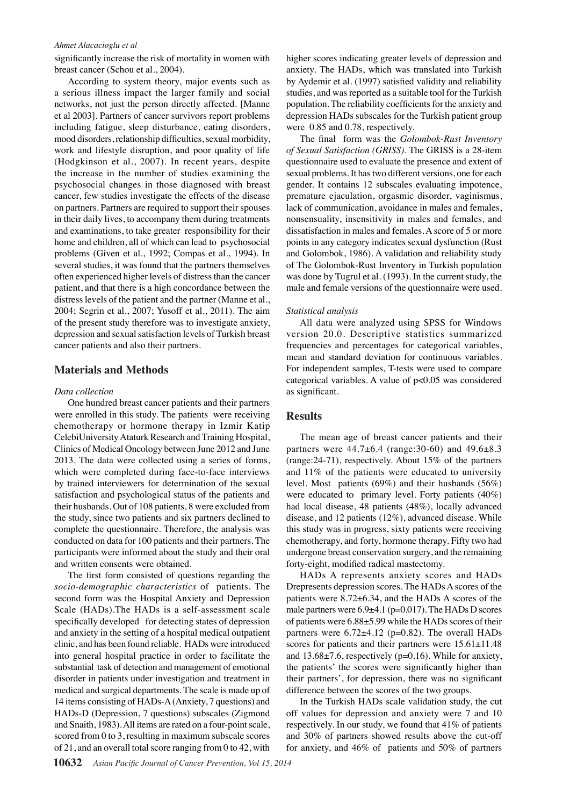#### *Ahmet Alacacioglu et al*

significantly increase the risk of mortality in women with breast cancer (Schou et al., 2004).

According to system theory, major events such as a serious illness impact the larger family and social networks, not just the person directly affected. [Manne et al 2003]. Partners of cancer survivors report problems including fatigue, sleep disturbance, eating disorders, mood disorders, relationship difficulties, sexual morbidity, work and lifestyle disruption, and poor quality of life (Hodgkinson et al., 2007). In recent years, despite the increase in the number of studies examining the psychosocial changes in those diagnosed with breast cancer, few studies investigate the effects of the disease on partners. Partners are required to support their spouses in their daily lives, to accompany them during treatments and examinations, to take greater responsibility for their home and children, all of which can lead to psychosocial problems (Given et al., 1992; Compas et al., 1994). In several studies, it was found that the partners themselves often experienced higher levels of distress than the cancer patient, and that there is a high concordance between the distress levels of the patient and the partner (Manne et al., 2004; Segrin et al., 2007; Yusoff et al., 2011). The aim of the present study therefore was to investigate anxiety, depression and sexual satisfaction levels of Turkish breast cancer patients and also their partners.

## **Materials and Methods**

#### *Data collection*

One hundred breast cancer patients and their partners were enrolled in this study. The patients were receiving chemotherapy or hormone therapy in Izmir Katip CelebiUniversity Ataturk Research and Training Hospital, Clinics of Medical Oncology between June 2012 and June 2013. The data were collected using a series of forms, which were completed during face-to-face interviews by trained interviewers for determination of the sexual satisfaction and psychological status of the patients and their husbands. Out of 108 patients, 8 were excluded from the study, since two patients and six partners declined to complete the questionnaire. Therefore, the analysis was conducted on data for 100 patients and their partners. The participants were informed about the study and their oral and written consents were obtained.

The first form consisted of questions regarding the *socio-demographic characteristics* of patients. The second form was the Hospital Anxiety and Depression Scale (HADs).The HADs is a self-assessment scale specifically developed for detecting states of depression and anxiety in the setting of a hospital medical outpatient clinic, and has been found reliable. HADs were introduced into general hospital practice in order to facilitate the substantial task of detection and management of emotional disorder in patients under investigation and treatment in medical and surgical departments. The scale is made up of 14 items consisting of HADs-A (Anxiety, 7 questions) and HADs-D (Depression, 7 questions) subscales (Zigmond and Snaith, 1983). All items are rated on a four-point scale, scored from 0 to 3, resulting in maximum subscale scores of 21, and an overall total score ranging from 0 to 42, with

higher scores indicating greater levels of depression and anxiety. The HADs, which was translated into Turkish by Aydemir et al. (1997) satisfied validity and reliability studies, and was reported as a suitable tool for the Turkish population. The reliability coefficients for the anxiety and depression HADs subscales for the Turkish patient group were 0.85 and 0.78, respectively.

The final form was the *Golombok-Rust Inventory of Sexual Satisfaction (GRISS)*. The GRISS is a 28-item questionnaire used to evaluate the presence and extent of sexual problems. It has two different versions, one for each gender. It contains 12 subscales evaluating impotence, premature ejaculation, orgasmic disorder, vaginismus, lack of communication, avoidance in males and females, nonsensuality, insensitivity in males and females, and dissatisfaction in males and females. A score of 5 or more points in any category indicates sexual dysfunction (Rust and Golombok, 1986). A validation and reliability study of The Golombok-Rust Inventory in Turkish population was done by Tugrul et al. (1993). In the current study, the male and female versions of the questionnaire were used.

#### *Statistical analysis*

All data were analyzed using SPSS for Windows version 20.0. Descriptive statistics summarized frequencies and percentages for categorical variables, mean and standard deviation for continuous variables. For independent samples, T-tests were used to compare categorical variables. A value of p<0.05 was considered as significant.

#### **Results**

The mean age of breast cancer patients and their partners were  $44.7\pm6.4$  (range: 30-60) and  $49.6\pm8.3$ (range:24-71), respectively. About 15% of the partners and 11% of the patients were educated to university level. Most patients (69%) and their husbands (56%) were educated to primary level. Forty patients (40%) had local disease, 48 patients (48%), locally advanced disease, and 12 patients (12%), advanced disease. While this study was in progress, sixty patients were receiving chemotherapy, and forty, hormone therapy. Fifty two had undergone breast conservation surgery, and the remaining forty-eight, modified radical mastectomy.

HADs A represents anxiety scores and HADs Drepresents depression scores. The HADs A scores of the patients were 8.72±6.34, and the HADs A scores of the male partners were 6.9±4.1 (p=0.017). The HADs D scores of patients were 6.88±5.99 while the HADs scores of their partners were 6.72±4.12 (p=0.82). The overall HADs scores for patients and their partners were  $15.61\pm11.48$ and 13.68±7.6, respectively (p=0.16). While for anxiety, the patients' the scores were significantly higher than their partners', for depression, there was no significant difference between the scores of the two groups.

In the Turkish HADs scale validation study, the cut off values for depression and anxiety were 7 and 10 respectively. In our study, we found that 41% of patients and 30% of partners showed results above the cut-off for anxiety, and 46% of patients and 50% of partners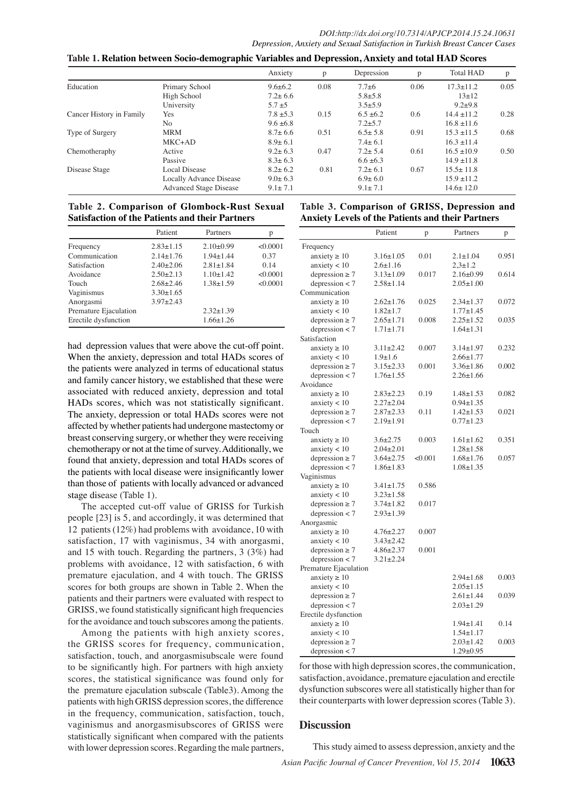|                          |                               | Anxiety                | p    | Depression     | p    | <b>Total HAD</b> | p    |
|--------------------------|-------------------------------|------------------------|------|----------------|------|------------------|------|
| Education                | Primary School                | $9.6 \pm 6.2$          | 0.08 | $7.7 + 6$      | 0.06 | $17.3 \pm 11.2$  | 0.05 |
|                          | High School                   | $7.2 \pm 6.6$          |      | $5.8 \pm 5.8$  |      | $13+12$          |      |
|                          | University                    | $5.7 + 5$              |      | $3.5 \pm 5.9$  |      | $9.2 + 9.8$      |      |
| Cancer History in Family | Yes                           | $7.8 \pm 5.3$          | 0.15 | $6.5 \pm 6.2$  | 0.6  | $14.4 \pm 11.2$  | 0.28 |
|                          | No                            | $9.6 \pm 6.8$          |      | $7.2 \pm 5.7$  |      | $16.8 \pm 11.6$  |      |
| Type of Surgery          | <b>MRM</b>                    | $8.7 \pm 6.6$          | 0.51 | $6.5 \pm 5.8$  | 0.91 | $15.3 \pm 11.5$  | 0.68 |
|                          | $MKC+AD$                      | $8.9 \pm 6.1$          |      | $7.4 \pm 6.1$  |      | $16.3 + 11.4$    |      |
| Chemotheraphy            | Active                        | $9.2 \pm 6.3$          | 0.47 | $7.2 \pm 5.4$  | 0.61 | $16.5 \pm 10.9$  | 0.50 |
|                          | Passive                       | $8.3 \pm 6.3$          |      | $6.6 \pm 6.3$  |      | $14.9 \pm 11.8$  |      |
| Disease Stage            | <b>Local Disease</b>          |                        | 0.81 | $7.2 \pm 6.1$  | 0.67 | $15.5 \pm 11.8$  |      |
|                          | Locally Advance Disease       | $^{8.2}_{9.0\pm}$ 00.0 |      | $6.9 + 6.0$    |      | $15.9 \pm 11.2$  |      |
|                          | <b>Advanced Stage Disease</b> | $9.1 \pm 7.1$          | 6.3  | $9.1 \pm 0.11$ | 20.3 | $14.6 \pm 12.0$  |      |

## **Table 1. Relation between Socio-demographic Variables and Depression, Anxiety and total HAD Scores**

## Table 2. Comparison of Glombock-Rust Sexual 75.0 able 3. Comparison o<del>f GRIS</del>S, Depression and <br>Setisfaction of the Petients and their Pertners **Satisfaction of the Patients and their Partners**

|                       | Patient         | Partners        | p            |                   | 56.3                      | 4 |
|-----------------------|-----------------|-----------------|--------------|-------------------|---------------------------|---|
| Frequency             | $2.83 \pm 1.15$ | $2.10+0.99$     | < 0.0001     | Frequency         |                           |   |
| Communication         | $2.14 \pm 1.76$ | $1.94 \pm 1.44$ | 50.0<br>0.37 |                   | anxiety $\geq 10$         |   |
| Satisfaction          | $2.40 \pm 2.06$ | $2.81 \pm 1.84$ | 0.14         |                   | anxiety $< 10$            |   |
| Avoidance             | $2.50 \pm 2.13$ | $1.10 \pm 1.42$ | < 0.0001     |                   | $depression \geq$         |   |
| Touch                 | $2.68 + 2.46$   | $1.38 \pm 1.59$ | < 0.0001     |                   | depr <sub>esion</sub> < 7 |   |
| Vaginismus            | $3.30 \pm 1.65$ |                 |              | 25.0Communication |                           |   |
| Anorgasmi             | $3.97 \pm 2.43$ |                 |              |                   | anxiety $\geq 10$         | 3 |
| Premature Ejaculation |                 | $2.32 \pm 1.39$ |              |                   | $anx$ iety $\leq$         |   |
| Erectile dysfunction  |                 | $1.66 \pm 1.26$ |              |                   | depression $\geq$ 7       |   |
|                       |                 |                 |              |                   | depression <              |   |

had depression values that were above the cut-off point. When the anxiety, depression and total HADs scores of the patients were analyzed in terms of educational status and family cancer history, we established that these were associated with reduced anxiety, depression and total HADs scores, which was not statistically significant. The anxiety, depression or total HADs scores were not affected by whether patients had undergone mastectomy or breast conserving surgery, or whether they were receiving chemotherapy or not at the time of survey. Additionally, we found that anxiety, depression and total HADs scores of the patients with local disease were insignificantly lower than those of patients with locally advanced or advanced stage disease (Table 1).

The accepted cut-off value of GRISS for Turkish people [23] is 5, and accordingly, it was determined that 12 patients (12%) had problems with avoidance, 10 with satisfaction, 17 with vaginismus, 34 with anorgasmi, and 15 with touch. Regarding the partners, 3 (3%) had problems with avoidance, 12 with satisfaction, 6 with premature ejaculation, and 4 with touch. The GRISS scores for both groups are shown in Table 2. When the patients and their partners were evaluated with respect to GRISS, we found statistically significant high frequencies for the avoidance and touch subscores among the patients.

Among the patients with high anxiety scores, the GRISS scores for frequency, communication, satisfaction, touch, and anorgasmisubscale were found to be significantly high. For partners with high anxiety scores, the statistical significance was found only for the premature ejaculation subscale (Table3). Among the patients with high GRISS depression scores, the difference in the frequency, communication, satisfaction, touch, vaginismus and anorgasmisubscores of GRISS were statistically significant when compared with the patients with lower depression scores. Regarding the male partners,

| Anxiety Levels of the Patients and their Partners |                             |                                                                                                |                                    |              |      |   |
|---------------------------------------------------|-----------------------------|------------------------------------------------------------------------------------------------|------------------------------------|--------------|------|---|
| 56.3                                              | 46 Bient                    | p                                                                                              | Partners                           | $\, {\bf p}$ |      | 5 |
| Frequency                                         |                             |                                                                                                |                                    |              |      |   |
| anxiety $\geq 10$                                 | $3.16 \pm 1.05$             | $54^{2}_{(1)}$                                                                                 | 34.1311.04                         | 0.951        | 30.0 |   |
| anxiety $< 10$                                    | $2.6 \pm 1.16$              |                                                                                                | $2,3 \pm 1.2$                      |              |      |   |
| depression $\geq$ 7                               | $3.13 \pm 1.09$             | 0.017                                                                                          | $2.16\pm0.99$                      | 0.614        |      |   |
| $deprex$ ssion < 7                                | $2.58 \pm 1.14$             |                                                                                                | $2.05 \pm 1.00$                    |              |      |   |
| Communication                                     |                             |                                                                                                |                                    |              |      |   |
| anxiety $\geq 10$                                 | $38(0+1.76)$                | 0.025                                                                                          | $2.34 \pm 1.37$                    | 0.072        | 30.0 |   |
| anxiety $\approx 31.3$                            | $1.82 \pm 1.7$              | 23.7                                                                                           | 771.45                             |              |      |   |
| depression $\geq$                                 | $2.65 \pm 1.71$             | 0.008                                                                                          | $2.25 \pm 1.52$                    | 0.035        |      |   |
| depression                                        | $1.71 + 1.71$               |                                                                                                | $1.64 \pm 1.31$                    |              |      |   |
| Satisfaction                                      |                             | 007<br><b>Example:</b><br><b>C</b><br><b>C</b><br><b>C</b><br><b>C</b><br><b>C</b><br><b>C</b> | $3\frac{5}{9}4 \pm 1.97$           |              |      |   |
| anxiety $\frac{1}{20}10$                          | 3月1±2.42                    |                                                                                                |                                    | 0.232        | None |   |
| anxiety $\epsilon$ 10                             | $129 \pm 1.6$               |                                                                                                | $266 \pm 1.77$                     |              |      |   |
| depression $\geq 7$                               | $395 \pm 2.33$              |                                                                                                | $356 \pm 1.86$                     | 0.002        |      |   |
| depression $<$ 7                                  | 1.55                        |                                                                                                | $2.26 \pm 1.66$                    |              |      |   |
| Avoidance $\overline{a}$                          |                             |                                                                                                |                                    |              |      |   |
| anxiety $\frac{1}{20}10$                          | $253 \pm 2.23$              | $\frac{9}{25}$ .19<br>$\frac{1}{25}$ .11                                                       | $1.48 \pm 1.53$                    | 0.082        |      |   |
| anxiety $\sum_{n=1}^{\infty} 10$                  | $22/7 + 2.04$<br>$287+2.33$ |                                                                                                | $0.94 \pm 1.35$                    |              |      |   |
| depression $\geq 7$                               |                             | قم                                                                                             | $1.42 \pm 1.53$                    | 0.021        |      |   |
| depression $< 7$                                  | အ္တြ9±1.91                  |                                                                                                | $0.77 \pm 1.23$                    |              |      |   |
| Touch<br>anxiety $\overline{5}10$                 | $\frac{2}{32}+2.75$         | 0.003                                                                                          |                                    | 0.351        |      |   |
| anxiety $\leq 0$                                  | 294±2.01                    |                                                                                                | $1.61 \pm 1.62$<br>$1.28 \pm 1.58$ |              |      |   |
| depressi $\frac{d\mathbf{y}}{dt} \geq 7$          | $3.64 \pm 2.75$             | < 0.001                                                                                        | $1.68 \pm 1.76$                    | 0.057        |      |   |
| depression $<$ 7                                  | $1.86 \pm 1.83$             |                                                                                                | $1.08 \pm 1.35$                    |              |      |   |
| Vaginismus                                        |                             |                                                                                                |                                    |              |      |   |
| anxiety $\geq 10$                                 | $3.41 \pm 1.75$             | 0.586                                                                                          |                                    |              |      |   |
| anxiety $< 10$                                    | $3.23 \pm 1.58$             |                                                                                                |                                    |              |      |   |
| depression $\geq 7$                               | $3.74 \pm 1.82$             | 0.017                                                                                          |                                    |              |      |   |
| depression $<$ 7                                  | $2.93 \pm 1.39$             |                                                                                                |                                    |              |      |   |
| Anorgasmic                                        |                             |                                                                                                |                                    |              |      |   |
| anxiety $\geq 10$                                 | $4.76 \pm 2.27$             | 0.007                                                                                          |                                    |              |      |   |
| anxiety $< 10$                                    | $3.43 \pm 2.42$             |                                                                                                |                                    |              |      |   |
| depression $\geq 7$                               | $4.86 \pm 2.37$             | 0.001                                                                                          |                                    |              |      |   |
| depression $<$ 7                                  | $3.21 \pm 2.24$             |                                                                                                |                                    |              |      |   |
| Premature Ejaculation                             |                             |                                                                                                |                                    |              |      |   |
| anxiety $\geq 10$                                 |                             |                                                                                                | $2.94 \pm 1.68$                    | 0.003        |      |   |
| anxiety $< 10$                                    |                             |                                                                                                | $2.05 \pm 1.15$                    |              |      |   |
| depression $\geq 7$                               |                             |                                                                                                | $2.61 \pm 1.44$                    | 0.039        |      |   |
| depression $<$ 7                                  |                             |                                                                                                | $2.03 \pm 1.29$                    |              |      |   |
| Erectile dysfunction                              |                             |                                                                                                |                                    |              |      |   |
| anxiety $\geq 10$                                 |                             |                                                                                                | $1.94 \pm 1.41$                    | 0.14         |      |   |
| anxiety $< 10$                                    |                             |                                                                                                | $1.54 \pm 1.17$                    |              |      |   |
| depression $\geq 7$                               |                             |                                                                                                | $2.03 \pm 1.42$                    | 0.003        |      |   |
| depression $<$ 7                                  |                             |                                                                                                | $1.29 \pm 0.95$                    |              |      |   |
|                                                   |                             |                                                                                                |                                    |              |      |   |

for those with high depression scores, the communication, satisfaction, avoidance, premature ejaculation and erectile dysfunction subscores were all statistically higher than for their counterparts with lower depression scores (Table 3).

## **Discussion**

**12.8**

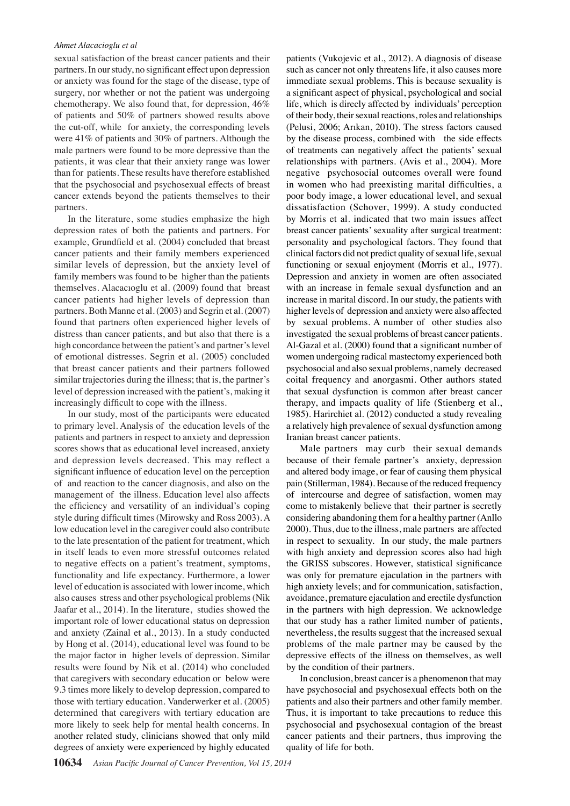#### *Ahmet Alacacioglu et al*

sexual satisfaction of the breast cancer patients and their partners. In our study, no significant effect upon depression or anxiety was found for the stage of the disease, type of surgery, nor whether or not the patient was undergoing chemotherapy. We also found that, for depression, 46% of patients and 50% of partners showed results above the cut-off, while for anxiety, the corresponding levels were 41% of patients and 30% of partners. Although the male partners were found to be more depressive than the patients, it was clear that their anxiety range was lower than for patients. These results have therefore established that the psychosocial and psychosexual effects of breast cancer extends beyond the patients themselves to their partners.

In the literature, some studies emphasize the high depression rates of both the patients and partners. For example, Grundfield et al. (2004) concluded that breast cancer patients and their family members experienced similar levels of depression, but the anxiety level of family members was found to be higher than the patients themselves. Alacacıoglu et al. (2009) found that breast cancer patients had higher levels of depression than partners. Both Manne et al. (2003) and Segrin et al. (2007) found that partners often experienced higher levels of distress than cancer patients, and but also that there is a high concordance between the patient's and partner's level of emotional distresses. Segrin et al. (2005) concluded that breast cancer patients and their partners followed similar trajectories during the illness; that is, the partner's level of depression increased with the patient's, making it increasingly difficult to cope with the illness.

In our study, most of the participants were educated to primary level. Analysis of the education levels of the patients and partners in respect to anxiety and depression scores shows that as educational level increased, anxiety and depression levels decreased. This may reflect a significant influence of education level on the perception of and reaction to the cancer diagnosis, and also on the management of the illness. Education level also affects the efficiency and versatility of an individual's coping style during difficult times (Mirowsky and Ross 2003). A low education level in the caregiver could also contribute to the late presentation of the patient for treatment, which in itself leads to even more stressful outcomes related to negative effects on a patient's treatment, symptoms, functionality and life expectancy. Furthermore, a lower level of education is associated with lower income, which also causes stress and other psychological problems (Nik Jaafar et al., 2014). In the literature, studies showed the important role of lower educational status on depression and anxiety (Zainal et al., 2013). In a study conducted by Hong et al. (2014), educational level was found to be the major factor in higher levels of depression. Similar results were found by Nik et al. (2014) who concluded that caregivers with secondary education or below were 9.3 times more likely to develop depression, compared to those with tertiary education. Vanderwerker et al. (2005) determined that caregivers with tertiary education are more likely to seek help for mental health concerns. In another related study, clinicians showed that only mild degrees of anxiety were experienced by highly educated

patients (Vukojevic et al., 2012). A diagnosis of disease such as cancer not only threatens life, it also causes more immediate sexual problems. This is because sexuality is a significant aspect of physical, psychological and social life, which is direcly affected by individuals' perception of their body, their sexual reactions, roles and relationships (Pelusi, 2006; Arıkan, 2010). The stress factors caused by the disease process, combined with the side effects of treatments can negatively affect the patients' sexual relationships with partners. (Avis et al., 2004). More negative psychosocial outcomes overall were found in women who had preexisting marital difficulties, a poor body image, a lower educational level, and sexual dissatisfaction (Schover, 1999). A study conducted by Morris et al. indicated that two main issues affect breast cancer patients' sexuality after surgical treatment: personality and psychological factors. They found that clinical factors did not predict quality of sexual life, sexual functioning or sexual enjoyment (Morris et al., 1977). Depression and anxiety in women are often associated with an increase in female sexual dysfunction and an increase in marital discord. In our study, the patients with higher levels of depression and anxiety were also affected by sexual problems. A number of other studies also investigated the sexual problems of breast cancer patients. Al-Gazal et al. (2000) found that a significant number of women undergoing radical mastectomy experienced both psychosocial and also sexual problems, namely decreased coital frequency and anorgasmi. Other authors stated that sexual dysfunction is common after breast cancer therapy, and impacts quality of life (Stienberg et al., 1985). Harirchiet al. (2012) conducted a study revealing a relatively high prevalence of sexual dysfunction among Iranian breast cancer patients.

Male partners may curb their sexual demands because of their female partner's anxiety, depression and altered body image, or fear of causing them physical pain (Stillerman, 1984). Because of the reduced frequency of intercourse and degree of satisfaction, women may come to mistakenly believe that their partner is secretly considering abandoning them for a healthy partner (Anllo 2000). Thus, due to the illness, male partners are affected in respect to sexuality. In our study, the male partners with high anxiety and depression scores also had high the GRISS subscores. However, statistical significance was only for premature ejaculation in the partners with high anxiety levels; and for communication, satisfaction, avoidance, premature ejaculation and erectile dysfunction in the partners with high depression. We acknowledge that our study has a rather limited number of patients, nevertheless, the results suggest that the increased sexual problems of the male partner may be caused by the depressive effects of the illness on themselves, as well by the condition of their partners.

In conclusion, breast cancer is a phenomenon that may have psychosocial and psychosexual effects both on the patients and also their partners and other family member. Thus, it is important to take precautions to reduce this psychosocial and psychosexual contagion of the breast cancer patients and their partners, thus improving the quality of life for both.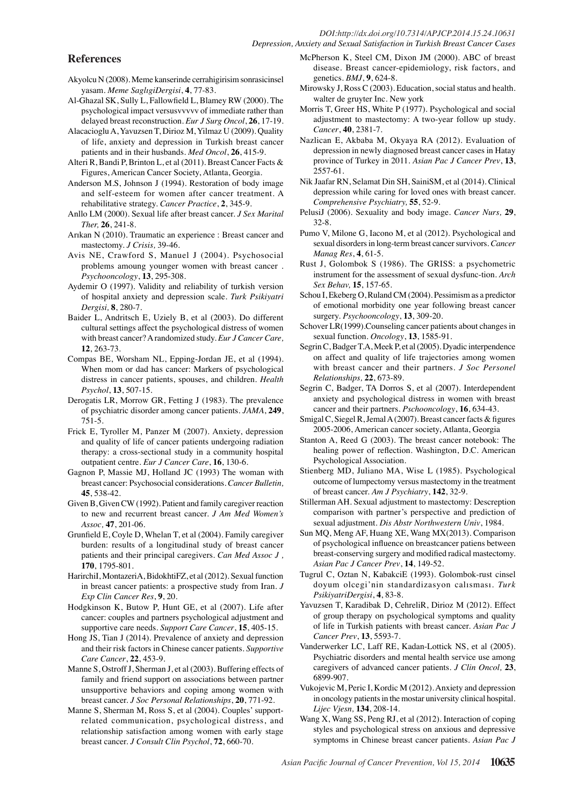#### *DOI:http://dx.doi.org/10.7314/APJCP.2014.15.24.10631 Depression, Anxiety and Sexual Satisfaction in Turkish Breast Cancer Cases*

## **References**

- Akyolcu N (2008). Meme kanserinde cerrahigirisim sonrasicinsel yasam. *Meme SaglıgiDergisi*, **4**, 77-83.
- Al-Ghazal SK, Sully L, Fallowfield L, Blamey RW (2000). The psychological impact versusvvvvv of immediate rather than delayed breast reconstruction. *Eur J Surg Oncol*, **26**, 17-19.
- Alacacioglu A, Yavuzsen T, Dirioz M, Yilmaz U (2009). Quality of life, anxiety and depression in Turkish breast cancer patients and in their husbands. *Med Oncol*, **26**, 415-9.
- Alteri R, Bandi P, Brinton L, et al (2011). Breast Cancer Facts & Figures, American Cancer Society, Atlanta, Georgia.
- Anderson M.S, Johnson J (1994). Restoration of body image and self-esteem for women after cancer treatment. A rehabilitative strategy. *Cancer Practice*, **2**, 345-9.
- Anllo LM (2000). Sexual life after breast cancer. *J Sex Marital Ther,* **26**, 241-8.
- Arıkan N (2010). Traumatic an experience : Breast cancer and mastectomy. *J Crisis,* 39-46.
- Avis NE, Crawford S, Manuel J (2004). Psychosocial problems amoung younger women with breast cancer . *Psychooncology*, **13**, 295-308.
- Aydemir O (1997). Validity and reliability of turkish version of hospital anxiety and depression scale. *Turk Psikiyatri Dergisi,* **8**, 280-7.
- Baider L, Andritsch E, Uziely B, et al (2003). Do different cultural settings affect the psychological distress of women with breast cancer? A randomized study. *Eur J Cancer Care,* **12**, 263-73.
- Compas BE, Worsham NL, Epping-Jordan JE, et al (1994). When mom or dad has cancer: Markers of psychological distress in cancer patients, spouses, and children. *Health Psychol*, **13**, 507-15.
- Derogatis LR, Morrow GR, Fetting J (1983). The prevalence of psychiatric disorder among cancer patients. *JAMA*, **249**, 751-5.
- Frick E, Tyroller M, Panzer M (2007). Anxiety, depression and quality of life of cancer patients undergoing radiation therapy: a cross-sectional study in a community hospital outpatient centre. *Eur J Cancer Care*, **16**, 130-6.
- Gagnon P, Massie MJ, Holland JC (1993) The woman with breast cancer: Psychosocial considerations. *Cancer Bulletin,*  **45**, 538-42.
- Given B, Given CW (1992). Patient and family caregiver reaction to new and recurrent breast cancer. *J Am Med Women's Assoc,* **47**, 201-06.
- Grunfield E, Coyle D, Whelan T, et al (2004). Family caregiver burden: results of a longitudinal study of breast cancer patients and their principal caregivers. *Can Med Assoc J ,*  **170**, 1795-801.
- HarirchiI, MontazeriA, BidokhtiFZ, et al (2012). Sexual function in breast cancer patients: a prospective study from Iran. *J Exp Clin Cancer Res*, **9**, 20.
- Hodgkinson K, Butow P, Hunt GE, et al (2007). Life after cancer: couples and partners psychological adjustment and supportive care needs. *Support Care Cancer*, **15**, 405-15.
- Hong JS, Tian J (2014). Prevalence of anxiety and depression and their risk factors in Chinese cancer patients. *Supportive Care Cancer*, **22**, 453-9.
- Manne S, Ostroff J, Sherman J, et al (2003). Buffering effects of family and friend support on associations between partner unsupportive behaviors and coping among women with breast cancer. *J Soc Personal Relationships*, **20**, 771-92.
- Manne S, Sherman M, Ross S, et al (2004). Couples' supportrelated communication, psychological distress, and relationship satisfaction among women with early stage breast cancer. *J Consult Clin Psychol*, **72**, 660-70.
- McPherson K, Steel CM, Dixon JM (2000). ABC of breast disease. Breast cancer-epidemiology, risk factors, and genetics. *BMJ*, **9**, 624-8.
- Mirowsky J, Ross C (2003). Education, social status and health. walter de gruyter Inc. New york
- Morris T, Greer HS, White P (1977). Psychological and social adjustment to mastectomy: A two-year follow up study. *Cancer*, **40**, 2381-7.
- Nazlican E, Akbaba M, Okyaya RA (2012). Evaluation of depression in newly diagnosed breast cancer cases in Hatay province of Turkey in 2011. *Asian Pac J Cancer Prev*, **13**, 2557-61.
- Nik Jaafar RN, Selamat Din SH, SainiSM, et al (2014). Clinical depression while caring for loved ones with breast cancer. *Comprehensive Psychiatry,* **55**, 52-9.
- PelusiJ (2006). Sexuality and body image. *Cancer Nurs,* **29**, 32-8.
- Pumo V, Milone G, Iacono M, et al (2012). Psychological and sexual disorders in long-term breast cancer survivors. *Cancer Manag Res*, **4**, 61-5.
- Rust J, Golombok S (1986). The GRISS: a psychometric instrument for the assessment of sexual dysfunc-tion. *Arch Sex Behav,* **15**, 157-65.
- Schou I, Ekeberg O, Ruland CM (2004). Pessimism as a predictor of emotional morbidity one year following breast cancer surgery. *Psychooncology*, **13**, 309-20.
- Schover LR(1999).Counseling cancer patients about changes in sexual function. *Oncology*, **13**, 1585-91.
- Segrin C, Badger T.A, Meek P, et al (2005). Dyadic interpendence on affect and quality of life trajectories among women with breast cancer and their partners. *J Soc Personel Relationships,* **22**, 673-89.
- Segrin C, Badger, TA Dorros S, et al (2007). Interdependent anxiety and psychological distress in women with breast cancer and their partners. *Pschooncology*, **16**, 634-43.
- Smigal C, Siegel R, Jemal A (2007). Breast cancer facts & figures 2005-2006, American cancer society, Atlanta, Georgia
- Stanton A, Reed G (2003). The breast cancer notebook: The healing power of reflection. Washington, D.C. American Psychological Association.
- Stienberg MD, Juliano MA, Wise L (1985). Psychological outcome of lumpectomy versus mastectomy in the treatment of breast cancer. *Am J Psychiatry*, **142**, 32-9.
- Stillerman AH. Sexual adjustment to mastectomy: Descreption comparison with partner's perspective and prediction of sexual adjustment. *Dis Abstr Northwestern Univ*, 1984.
- Sun MQ, Meng AF, Huang XE, Wang MX(2013). Comparison of psychological influence on breastcancer patiens between breast-conserving surgery and modified radical mastectomy. *Asian Pac J Cancer Prev*, **14**, 149-52.
- Tugrul C, Oztan N, KabakciE (1993). Golombok-rust cinsel doyum olcegi'nin standardizasyon calısması. *Turk PsikiyatriDergisi*, **4**, 83-8.
- Yavuzsen T, Karadibak D, CehreliR, Dirioz M (2012). Effect of group therapy on psychological symptoms and quality of life in Turkish patients with breast cancer. *Asian Pac J Cancer Prev*, **13**, 5593-7.
- Vanderwerker LC, Laff RE, Kadan-Lottick NS, et al (2005). Psychiatric disorders and mental health service use among caregivers of advanced cancer patients. *J Clin Oncol,* **23**, 6899-907.
- Vukojevic M, Peric I, Kordic M (2012). Anxiety and depression in oncology patients in the mostar university clinical hospital. *Lijec Vjesn,* **134**, 208-14.
- Wang X, Wang SS, Peng RJ, et al (2012). Interaction of coping styles and psychological stress on anxious and depressive symptoms in Chinese breast cancer patients. *Asian Pac J*